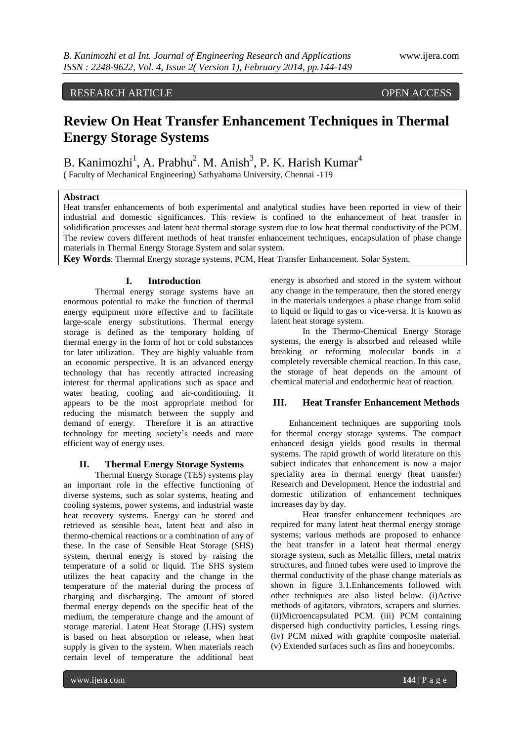RESEARCH ARTICLE OPEN ACCESS

# **Review On Heat Transfer Enhancement Techniques in Thermal Energy Storage Systems**

B. Kanimozhi<sup>1</sup>, A. Prabhu<sup>2</sup>. M. Anish<sup>3</sup>, P. K. Harish Kumar<sup>4</sup> ( Faculty of Mechanical Engineering) Sathyabama University, Chennai -119

### **Abstract**

Heat transfer enhancements of both experimental and analytical studies have been reported in view of their industrial and domestic significances. This review is confined to the enhancement of heat transfer in solidification processes and latent heat thermal storage system due to low heat thermal conductivity of the PCM. The review covers different methods of heat transfer enhancement techniques, encapsulation of phase change materials in Thermal Energy Storage System and solar system.

**Key Words**: Thermal Energy storage systems, PCM, Heat Transfer Enhancement. Solar System.

#### **I. Introduction**

Thermal energy storage systems have an enormous potential to make the function of thermal energy equipment more effective and to facilitate large-scale energy substitutions. Thermal energy storage is defined as the temporary holding of thermal energy in the form of hot or cold substances for later utilization. They are highly valuable from an economic perspective. It is an advanced energy technology that has recently attracted increasing interest for thermal applications such as space and water heating, cooling and air-conditioning. It appears to be the most appropriate method for reducing the mismatch between the supply and demand of energy. Therefore it is an attractive technology for meeting society's needs and more efficient way of energy uses.

#### **II. Thermal Energy Storage Systems**

Thermal Energy Storage (TES) systems play an important role in the effective functioning of diverse systems, such as solar systems, heating and cooling systems, power systems, and industrial waste heat recovery systems. Energy can be stored and retrieved as sensible heat, latent heat and also in thermo-chemical reactions or a combination of any of these. In the case of Sensible Heat Storage (SHS) system, thermal energy is stored by raising the temperature of a solid or liquid. The SHS system utilizes the heat capacity and the change in the temperature of the material during the process of charging and discharging. The amount of stored thermal energy depends on the specific heat of the medium, the temperature change and the amount of storage material. Latent Heat Storage (LHS) system is based on heat absorption or release, when heat supply is given to the system. When materials reach certain level of temperature the additional heat

energy is absorbed and stored in the system without any change in the temperature, then the stored energy in the materials undergoes a phase change from solid to liquid or liquid to gas or vice-versa. It is known as latent heat storage system.

In the Thermo-Chemical Energy Storage systems, the energy is absorbed and released while breaking or reforming molecular bonds in a completely reversible chemical reaction. In this case, the storage of heat depends on the amount of chemical material and endothermic heat of reaction.

## **III. Heat Transfer Enhancement Methods**

Enhancement techniques are supporting tools for thermal energy storage systems. The compact enhanced design yields good results in thermal systems. The rapid growth of world literature on this subject indicates that enhancement is now a major speciality area in thermal energy (heat transfer) Research and Development. Hence the industrial and domestic utilization of enhancement techniques increases day by day.

Heat transfer enhancement techniques are required for many latent heat thermal energy storage systems; various methods are proposed to enhance the heat transfer in a latent heat thermal energy storage system, such as Metallic fillers, metal matrix structures, and finned tubes were used to improve the thermal conductivity of the phase change materials as shown in figure 3.1.Enhancements followed with other techniques are also listed below. (i)Active methods of agitators, vibrators, scrapers and slurries. (ii)Microencapsulated PCM. (iii) PCM containing dispersed high conductivity particles, Lessing rings. (iv) PCM mixed with graphite composite material. (v) Extended surfaces such as fins and honeycombs.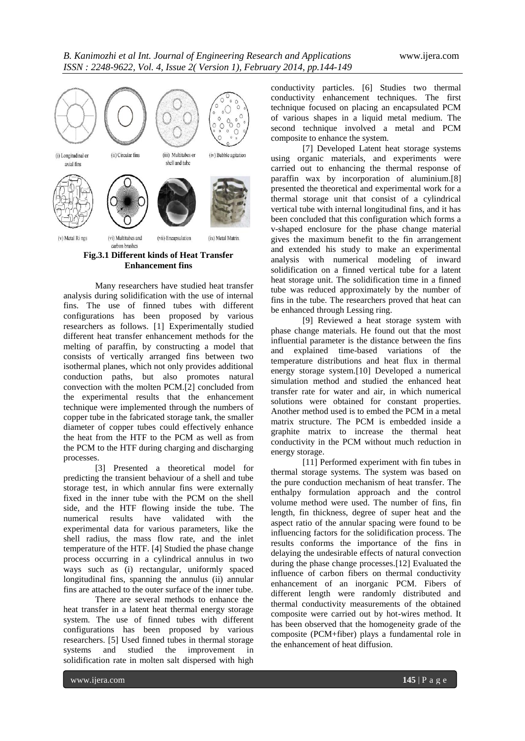

## **Enhancement fins**

Many researchers have studied heat transfer analysis during solidification with the use of internal fins. The use of finned tubes with different configurations has been proposed by various researchers as follows. [1] Experimentally studied different heat transfer enhancement methods for the melting of paraffin, by constructing a model that consists of vertically arranged fins between two isothermal planes, which not only provides additional conduction paths, but also promotes natural convection with the molten PCM.[2] concluded from the experimental results that the enhancement technique were implemented through the numbers of copper tube in the fabricated storage tank, the smaller diameter of copper tubes could effectively enhance the heat from the HTF to the PCM as well as from the PCM to the HTF during charging and discharging processes.

[3] Presented a theoretical model for predicting the transient behaviour of a shell and tube storage test, in which annular fins were externally fixed in the inner tube with the PCM on the shell side, and the HTF flowing inside the tube. The numerical results have validated with the experimental data for various parameters, like the shell radius, the mass flow rate, and the inlet temperature of the HTF. [4] Studied the phase change process occurring in a cylindrical annulus in two ways such as (i) rectangular, uniformly spaced longitudinal fins, spanning the annulus (ii) annular fins are attached to the outer surface of the inner tube.

There are several methods to enhance the heat transfer in a latent heat thermal energy storage system. The use of finned tubes with different configurations has been proposed by various researchers. [5] Used finned tubes in thermal storage systems and studied the improvement in solidification rate in molten salt dispersed with high

conductivity particles. [6] Studies two thermal conductivity enhancement techniques. The first technique focused on placing an encapsulated PCM of various shapes in a liquid metal medium. The second technique involved a metal and PCM composite to enhance the system.

[7] Developed Latent heat storage systems using organic materials, and experiments were carried out to enhancing the thermal response of paraffin wax by incorporation of aluminium.[8] presented the theoretical and experimental work for a thermal storage unit that consist of a cylindrical vertical tube with internal longitudinal fins, and it has been concluded that this configuration which forms a v-shaped enclosure for the phase change material gives the maximum benefit to the fin arrangement and extended his study to make an experimental analysis with numerical modeling of inward solidification on a finned vertical tube for a latent heat storage unit. The solidification time in a finned tube was reduced approximately by the number of fins in the tube. The researchers proved that heat can be enhanced through Lessing ring.

[9] Reviewed a heat storage system with phase change materials. He found out that the most influential parameter is the distance between the fins and explained time-based variations of the temperature distributions and heat flux in thermal energy storage system.[10] Developed a numerical simulation method and studied the enhanced heat transfer rate for water and air, in which numerical solutions were obtained for constant properties. Another method used is to embed the PCM in a metal matrix structure. The PCM is embedded inside a graphite matrix to increase the thermal heat conductivity in the PCM without much reduction in energy storage.

[11] Performed experiment with fin tubes in thermal storage systems. The system was based on the pure conduction mechanism of heat transfer. The enthalpy formulation approach and the control volume method were used. The number of fins, fin length, fin thickness, degree of super heat and the aspect ratio of the annular spacing were found to be influencing factors for the solidification process. The results conforms the importance of the fins in delaying the undesirable effects of natural convection during the phase change processes.[12] Evaluated the influence of carbon fibers on thermal conductivity enhancement of an inorganic PCM. Fibers of different length were randomly distributed and thermal conductivity measurements of the obtained composite were carried out by hot-wires method. It has been observed that the homogeneity grade of the composite (PCM+fiber) plays a fundamental role in the enhancement of heat diffusion.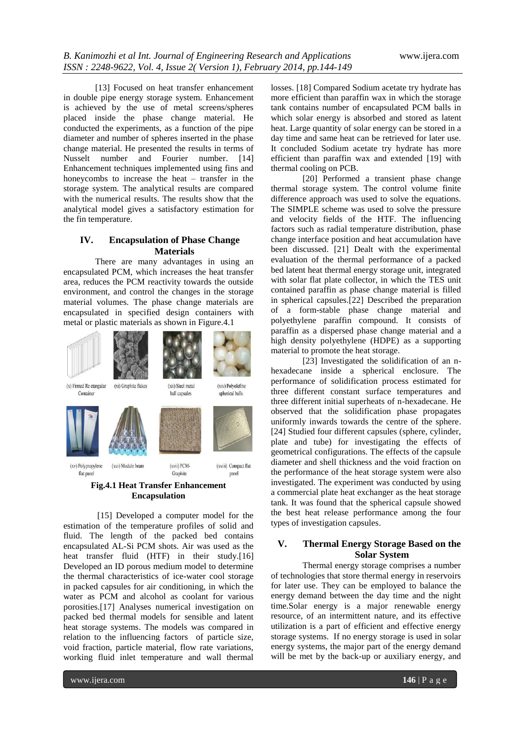[13] Focused on heat transfer enhancement in double pipe energy storage system. Enhancement is achieved by the use of metal screens/spheres placed inside the phase change material. He conducted the experiments, as a function of the pipe diameter and number of spheres inserted in the phase change material. He presented the results in terms of Nusselt number and Fourier number. [14] Enhancement techniques implemented using fins and honeycombs to increase the heat – transfer in the storage system. The analytical results are compared with the numerical results. The results show that the analytical model gives a satisfactory estimation for the fin temperature.

## **IV. Encapsulation of Phase Change Materials**

There are many advantages in using an encapsulated PCM, which increases the heat transfer area, reduces the PCM reactivity towards the outside environment, and control the changes in the storage material volumes. The phase change materials are encapsulated in specified design containers with metal or plastic materials as shown in Figure.4.1



#### **Fig.4.1 Heat Transfer Enhancement Encapsulation**

[15] Developed a computer model for the estimation of the temperature profiles of solid and fluid. The length of the packed bed contains encapsulated AL-Si PCM shots. Air was used as the heat transfer fluid (HTF) in their study.[16] Developed an ID porous medium model to determine the thermal characteristics of ice-water cool storage in packed capsules for air conditioning, in which the water as PCM and alcohol as coolant for various porosities.[17] Analyses numerical investigation on packed bed thermal models for sensible and latent heat storage systems. The models was compared in relation to the influencing factors of particle size, void fraction, particle material, flow rate variations, working fluid inlet temperature and wall thermal

losses. [18] Compared Sodium acetate try hydrate has more efficient than paraffin wax in which the storage tank contains number of encapsulated PCM balls in which solar energy is absorbed and stored as latent heat. Large quantity of solar energy can be stored in a day time and same heat can be retrieved for later use. It concluded Sodium acetate try hydrate has more efficient than paraffin wax and extended [19] with thermal cooling on PCB.

[20] Performed a transient phase change thermal storage system. The control volume finite difference approach was used to solve the equations. The SIMPLE scheme was used to solve the pressure and velocity fields of the HTF. The influencing factors such as radial temperature distribution, phase change interface position and heat accumulation have been discussed. [21] Dealt with the experimental evaluation of the thermal performance of a packed bed latent heat thermal energy storage unit, integrated with solar flat plate collector, in which the TES unit contained paraffin as phase change material is filled in spherical capsules.[22] Described the preparation of a form-stable phase change material and polyethylene paraffin compound. It consists of paraffin as a dispersed phase change material and a high density polyethylene (HDPE) as a supporting material to promote the heat storage.

[23] Investigated the solidification of an nhexadecane inside a spherical enclosure. The performance of solidification process estimated for three different constant surface temperatures and three different initial superheats of n-hexadecane. He observed that the solidification phase propagates uniformly inwards towards the centre of the sphere. [24] Studied four different capsules (sphere, cylinder, plate and tube) for investigating the effects of geometrical configurations. The effects of the capsule diameter and shell thickness and the void fraction on the performance of the heat storage system were also investigated. The experiment was conducted by using a commercial plate heat exchanger as the heat storage tank. It was found that the spherical capsule showed the best heat release performance among the four types of investigation capsules.

## **V. Thermal Energy Storage Based on the Solar System**

Thermal energy storage comprises a number of technologies that store thermal energy in reservoirs for later use. They can be employed to balance the energy demand between the day time and the night time.Solar energy is a major renewable energy resource, of an intermittent nature, and its effective utilization is a part of efficient and effective energy storage systems. If no energy storage is used in solar energy systems, the major part of the energy demand will be met by the back-up or auxiliary energy, and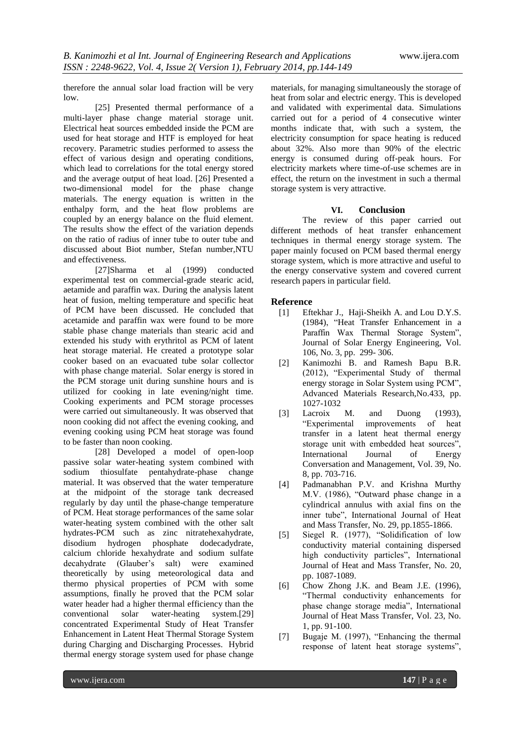therefore the annual solar load fraction will be very  $\log$ 

[25] Presented thermal performance of a multi-layer phase change material storage unit. Electrical heat sources embedded inside the PCM are used for heat storage and HTF is employed for heat recovery. Parametric studies performed to assess the effect of various design and operating conditions, which lead to correlations for the total energy stored and the average output of heat load. [26] Presented a two-dimensional model for the phase change materials. The energy equation is written in the enthalpy form, and the heat flow problems are coupled by an energy balance on the fluid element. The results show the effect of the variation depends on the ratio of radius of inner tube to outer tube and discussed about Biot number, Stefan number,NTU and effectiveness.

[27]Sharma et al (1999) conducted experimental test on commercial-grade stearic acid, aetamide and paraffin wax. During the analysis latent heat of fusion, melting temperature and specific heat of PCM have been discussed. He concluded that acetamide and paraffin wax were found to be more stable phase change materials than stearic acid and extended his study with erythritol as PCM of latent heat storage material. He created a prototype solar cooker based on an evacuated tube solar collector with phase change material. Solar energy is stored in the PCM storage unit during sunshine hours and is utilized for cooking in late evening/night time. Cooking experiments and PCM storage processes were carried out simultaneously. It was observed that noon cooking did not affect the evening cooking, and evening cooking using PCM heat storage was found to be faster than noon cooking.

[28] Developed a model of open-loop passive solar water-heating system combined with sodium thiosulfate pentahydrate-phase change material. It was observed that the water temperature at the midpoint of the storage tank decreased regularly by day until the phase-change temperature of PCM. Heat storage performances of the same solar water-heating system combined with the other salt hydrates-PCM such as zinc nitratehexahydrate, disodium hydrogen phosphate dodecadydrate, calcium chloride hexahydrate and sodium sulfate decahydrate (Glauber's salt) were examined theoretically by using meteorological data and thermo physical properties of PCM with some assumptions, finally he proved that the PCM solar water header had a higher thermal efficiency than the conventional solar water-heating system.[29] concentrated Experimental Study of Heat Transfer Enhancement in Latent Heat Thermal Storage System during Charging and Discharging Processes. Hybrid thermal energy storage system used for phase change

materials, for managing simultaneously the storage of heat from solar and electric energy. This is developed and validated with experimental data. Simulations carried out for a period of 4 consecutive winter months indicate that, with such a system, the electricity consumption for space heating is reduced about 32%. Also more than 90% of the electric energy is consumed during off-peak hours. For electricity markets where time-of-use schemes are in effect, the return on the investment in such a thermal storage system is very attractive.

### **VI. Conclusion**

The review of this paper carried out different methods of heat transfer enhancement techniques in thermal energy storage system. The paper mainly focused on PCM based thermal energy storage system, which is more attractive and useful to the energy conservative system and covered current research papers in particular field.

#### **Reference**

- [1] [Eftekhar](http://scitation.aip.org/vsearch/servlet/VerityServlet?KEY=ASMEDL&possible1=Eftekhar%2C+J.&possible1zone=author&maxdisp=25&smode=strresults&pjournals=AMREAD%2CJAMCAV%2CJBENDY%2CJCNDDM%2CJCISB6%2CJDSMAA%2CJEPAE4%2CJERTD2%2CJETPEZ%2CJEMTA8%2CJFEGA4%2CJFCSAU%2CJHTRAO%2CJMSEFK%2CJMDEDB%2CJMDOA4%2CJMOEEX%2CJPVTAS%2CJSEEDO%2CJOTRE9%2CJOTUEI%2CJVACEK%2CJTSEBV&aqs=true) J., [Haji-Sheikh](http://scitation.aip.org/vsearch/servlet/VerityServlet?KEY=ASMEDL&possible1=Haji-Sheikh%2C+A.&possible1zone=author&maxdisp=25&smode=strresults&pjournals=AMREAD%2CJAMCAV%2CJBENDY%2CJCNDDM%2CJCISB6%2CJDSMAA%2CJEPAE4%2CJERTD2%2CJETPEZ%2CJEMTA8%2CJFEGA4%2CJFCSAU%2CJHTRAO%2CJMSEFK%2CJMDEDB%2CJMDOA4%2CJMOEEX%2CJPVTAS%2CJSEEDO%2CJOTRE9%2CJOTUEI%2CJVACEK%2CJTSEBV&aqs=true) A. and [Lou](http://scitation.aip.org/vsearch/servlet/VerityServlet?KEY=ASMEDL&possible1=Lou%2C+D.+Y.+S.&possible1zone=author&maxdisp=25&smode=strresults&pjournals=AMREAD%2CJAMCAV%2CJBENDY%2CJCNDDM%2CJCISB6%2CJDSMAA%2CJEPAE4%2CJERTD2%2CJETPEZ%2CJEMTA8%2CJFEGA4%2CJFCSAU%2CJHTRAO%2CJMSEFK%2CJMDEDB%2CJMDOA4%2CJMOEEX%2CJPVTAS%2CJSEEDO%2CJOTRE9%2CJOTUEI%2CJVACEK%2CJTSEBV&aqs=true) D.Y.S. (1984), "Heat Transfer Enhancement in a Paraffin Wax Thermal Storage System", Journal of Solar Energy Engineering, Vol. 106, No. 3, pp. 299- 306.
- [2] Kanimozhi B. and Ramesh Bapu B.R. (2012), "Experimental Study of thermal energy storage in Solar System using PCM", Advanced Materials Research,No.433, pp. 1027-1032
- [3] Lacroix M. and Duong (1993), "Experimental improvements of heat transfer in a latent heat thermal energy storage unit with embedded heat sources", International Journal of Energy Conversation and Management, Vol. 39, No. 8, pp. 703-716.
- [4] Padmanabhan P.V. and Krishna Murthy M.V. (1986), "Outward phase change in a cylindrical annulus with axial fins on the inner tube", International Journal of Heat and Mass Transfer, No. 29, pp.1855-1866.
- [5] Siegel R. (1977), "Solidification of low conductivity material containing dispersed high conductivity particles", International Journal of Heat and Mass Transfer, No. 20, pp. 1087-1089.
- [6] Chow Zhong J.K. and Beam J.E. (1996), "Thermal conductivity enhancements for phase change storage media", International Journal of Heat Mass Transfer, Vol. 23, No. 1, pp. 91-100.
- [7] Bugaje M. (1997), "Enhancing the thermal response of latent heat storage systems",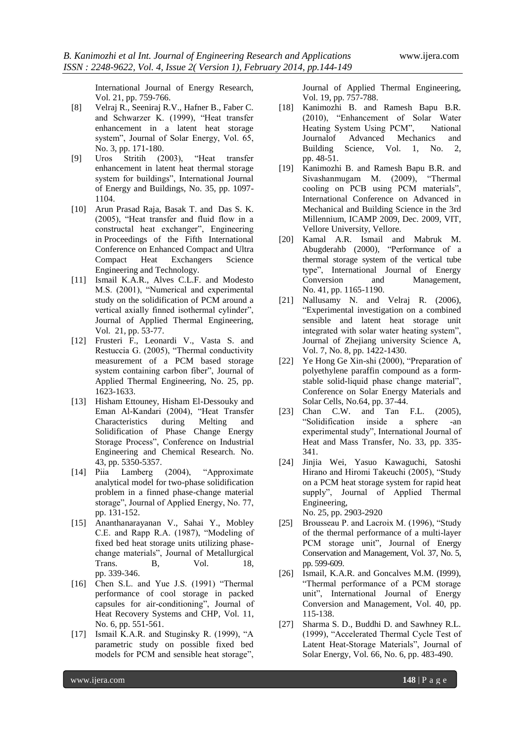International Journal of Energy Research, Vol. 21, pp. 759-766.

- [8] Velraj R., Seeniraj R.V., Hafner B., Faber C. and Schwarzer K. (1999), "Heat transfer enhancement in a latent heat storage system", Journal of Solar Energy, Vol. 65, No. 3, pp. 171-180.
- [9] Uros Stritih (2003), "Heat transfer enhancement in latent heat thermal storage system for buildings", International Journal of Energy and Buildings, No. 35, pp. 1097- 1104.
- [10] Arun Prasad Raja, Basak T. and Das S. K. (2005), "Heat transfer and fluid flow in a constructal heat exchanger", Engineering in Proceedings of the Fifth International Conference on Enhanced Compact and Ultra Compact Heat Exchangers Science Engineering and Technology.
- [11] Ismail K.A.R., Alves C.L.F. and Modesto M.S. (2001), "Numerical and experimental study on the solidification of PCM around a vertical axially finned isothermal cylinder", Journal of Applied Thermal Engineering, Vol. 21, pp. 53-77.
- [12] Frusteri F., Leonardi V., Vasta S. and Restuccia G. (2005), "Thermal conductivity measurement of a PCM based storage system containing carbon fiber", Journal of Applied Thermal Engineering, No. 25, pp. 1623-1633.
- [13] Hisham Ettouney, Hisham El-Dessouky and Eman Al-Kandari (2004), "Heat Transfer Characteristics during Melting and Solidification of Phase Change Energy Storage Process", Conference on Industrial Engineering and Chemical Research. No. 43, pp. 5350-5357.
- [14] Piia Lamberg (2004), "Approximate analytical model for two-phase solidification problem in a finned phase-change material storage", Journal of Applied Energy, No. 77, pp. 131-152.
- [15] Ananthanarayanan V., Sahai Y., Mobley C.E. and Rapp R.A. (1987), "Modeling of fixed bed heat storage units utilizing phasechange materials", Journal of Metallurgical Trans. B, Vol. 18, pp. 339-346.
- [16] Chen S.L. and Yue J.S. (1991) "Thermal performance of cool storage in packed capsules for air-conditioning", Journal of Heat Recovery Systems and CHP, Vol. 11, No. 6, pp. 551-561.
- [17] Ismail K.A.R. and Stuginsky R. (1999), "A parametric study on possible fixed bed models for PCM and sensible heat storage",

Journal of Applied Thermal Engineering, Vol. 19, pp. 757-788.

- [18] Kanimozhi B. and Ramesh Bapu B.R. (2010), "Enhancement of Solar Water Heating System Using PCM", National Journalof Advanced Mechanics and Building Science, Vol. 1, No. 2, pp. 48-51.
- [19] Kanimozhi B. and Ramesh Bapu B.R. and Sivashanmugam M. (2009), "Thermal cooling on PCB using PCM materials", International Conference on Advanced in Mechanical and Building Science in the 3rd Millennium, ICAMP 2009, Dec. 2009, VIT, Vellore University, Vellore.
- [20] Kamal A.R. Ismail and Mabruk M. Abugderahb (2000), "Performance of a thermal storage system of the vertical tube type", International Journal of Energy Conversion and Management, No. 41, pp. 1165-1190.
- [21] Nallusamy N. and Velraj R. (2006), "Experimental investigation on a combined sensible and latent heat storage unit integrated with solar water heating system", Journal of Zhejiang university Science A, Vol. 7, No. 8, pp. 1422-1430.
- [22] Ye Hong Ge Xin-shi (2000), "Preparation of polyethylene paraffin compound as a formstable solid-liquid phase change material", Conference on Solar Energy Materials and Solar Cells, No.64, pp. 37-44.
- [23] Chan C.W. and Tan F.L. (2005), "Solidification inside a sphere -an experimental study", International Journal of Heat and Mass Transfer, No. 33, pp. 335- 341.
- [24] Jinjia Wei, Yasuo Kawaguchi, Satoshi Hirano and Hiromi Takeuchi (2005), "Study on a PCM heat storage system for rapid heat supply", Journal of Applied Thermal Engineering, No. 25, pp. 2903-2920
- [25] Brousseau P. and Lacroix M. (1996), "Study of the thermal performance of a multi-layer PCM storage unit", Journal of Energy Conservation and Management, Vol. 37, No. 5, pp. 599-609.
- [26] Ismail, K.A.R. and Goncalves M.M. (1999), "Thermal performance of a PCM storage unit", International Journal of Energy Conversion and Management, Vol. 40, pp. 115-138.
- [27] Sharma S. D., Buddhi D. and Sawhney R.L. (1999), "Accelerated Thermal Cycle Test of Latent Heat-Storage Materials", Journal of Solar Energy, Vol. 66, No. 6, pp. 483-490.